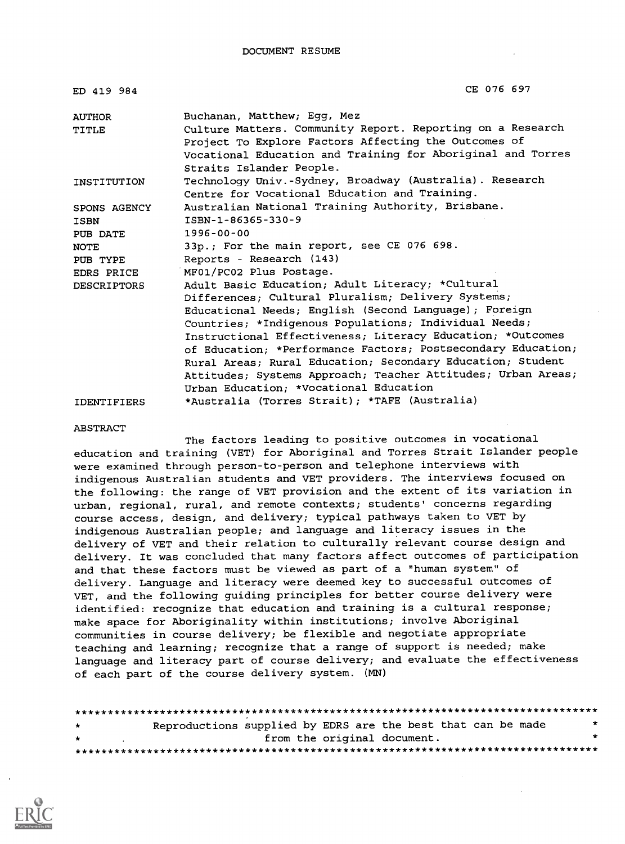| ED 419 984         | CE 076 697                                                   |
|--------------------|--------------------------------------------------------------|
| <b>AUTHOR</b>      | Buchanan, Matthew; Egg, Mez                                  |
| <b>TITLE</b>       | Culture Matters. Community Report. Reporting on a Research   |
|                    | Project To Explore Factors Affecting the Outcomes of         |
|                    | Vocational Education and Training for Aboriginal and Torres  |
|                    | Straits Islander People.                                     |
| INSTITUTION        | Technology Univ.-Sydney, Broadway (Australia). Research      |
|                    | Centre for Vocational Education and Training.                |
| SPONS AGENCY       | Australian National Training Authority, Brisbane.            |
| ISBN               | ISBN-1-86365-330-9                                           |
| PUB DATE           | $1996 - 00 - 00$                                             |
| <b>NOTE</b>        | 33p.; For the main report, see CE 076 698.                   |
| PUB TYPE           | Reports - Research (143)                                     |
| EDRS PRICE         | MF01/PC02 Plus Postage.                                      |
| <b>DESCRIPTORS</b> | Adult Basic Education; Adult Literacy; *Cultural             |
|                    | Differences; Cultural Pluralism; Delivery Systems;           |
|                    | Educational Needs; English (Second Language); Foreign        |
|                    | Countries; *Indigenous Populations; Individual Needs;        |
|                    | Instructional Effectiveness; Literacy Education; *Outcomes   |
|                    | of Education; *Performance Factors; Postsecondary Education; |
|                    | Rural Areas; Rural Education; Secondary Education; Student   |
|                    | Attitudes; Systems Approach; Teacher Attitudes; Urban Areas; |
|                    | Urban Education; *Vocational Education                       |
| <b>IDENTIFIERS</b> | *Australia (Torres Strait); *TAFE (Australia)                |

#### ABSTRACT

The factors leading to positive outcomes in vocational education and training (VET) for Aboriginal and Torres Strait Islander people were examined through person-to-person and telephone interviews with indigenous Australian students and VET providers. The interviews focused on the following: the range of VET provision and the extent of its variation in urban, regional, rural, and remote contexts; students' concerns regarding course access, design, and delivery; typical pathways taken to VET by indigenous Australian people; and language and literacy issues in the delivery of VET and their relation to culturally relevant course design and delivery. It was concluded that many factors affect outcomes of participation and that these factors must be viewed as part of a "human system" of delivery. Language and literacy were deemed key to successful outcomes of VET, and the following guiding principles for better course delivery were identified: recognize that education and training is a cultural response; make space for Aboriginality within institutions; involve Aboriginal communities in course delivery; be flexible and negotiate appropriate teaching and learning; recognize that a range of support is needed; make language and literacy part of course delivery; and evaluate the effectiveness of each part of the course delivery system. (MN)

| $\star$ | Reproductions supplied by EDRS are the best that can be made | * |
|---------|--------------------------------------------------------------|---|
| $\star$ | from the original document.                                  | ÷ |
|         |                                                              |   |

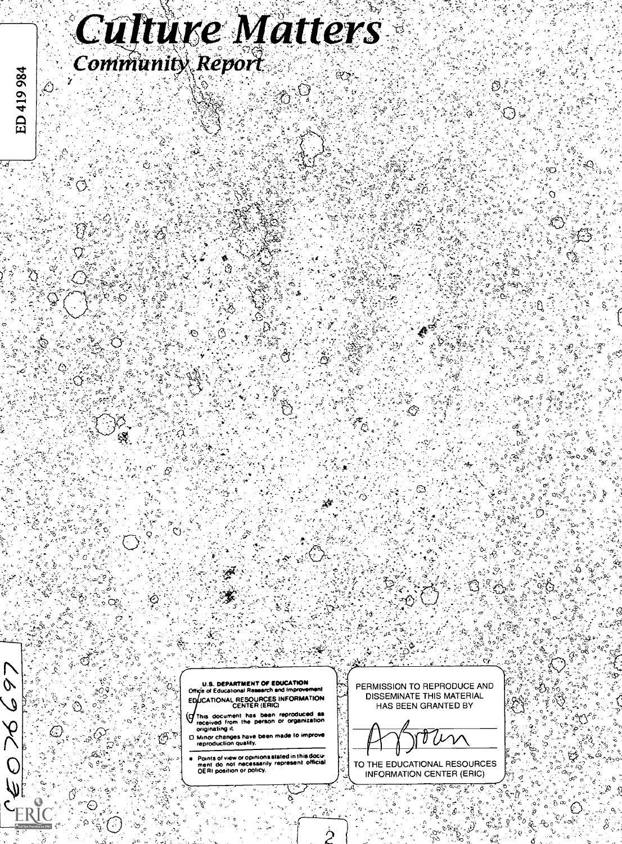# **Culture Matters Community Report**

U.S. DEPARTMENT OF EDUCATION  $\begin{bmatrix} \vdots \\ \vdots \\ \vdots \end{bmatrix}$ CATIONAL RESOURCES INFORMATION CENTER (ERIC)

- This document has been reproduced as  $\frac{1}{2}$ <br>received from the person or organization  $\frac{1}{2}$ (с
- O Minor changes have been made to improve reproduction quality.

 $\mathbb{G}^{\mathbb{Z}}$ 

Points of view or opinions stated in this docu-ment do not necessarily represent official OERI position or policy.

PERMISSION TO REPRODUCE AND DISSEMINATE THIS MATERIAL HAS BEEN GRANTED BY

TO THE EDUCATIONAL RESOURCES INFORMATION CENTER (ERIC)

ನ

Q

 $\varphi$  $\ell$ 

 $\gtrsim$ 

 $\mathcal{V} \rightarrow \mathcal{V}$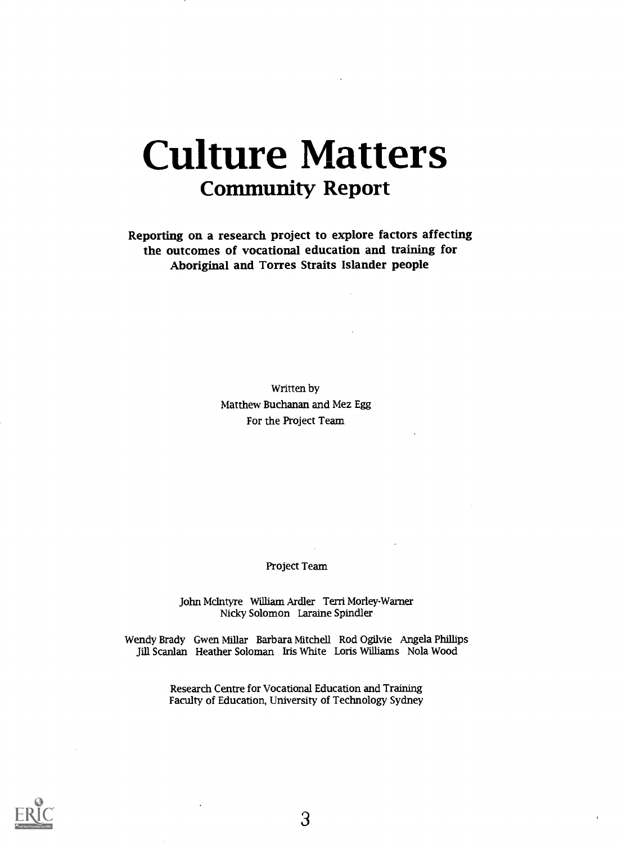# Culture Matters Community Report

Reporting on a research project to explore factors affecting the outcomes of vocational education and training for Aboriginal and Torres Straits Islander people

> Written by Matthew Buchanan and Mez Egg For the Project Team

> > Project Team

John McIntyre William Ardler Terri Morley-Warner Nicky Solomon Laraine Spindler

Wendy Brady Gwen Millar Barbara Mitchell Rod Ogilvie Angela Phillips Jill Scanlan Heather Soloman Iris White Loris Williams Nola Wood

> Research Centre for Vocational Education and Training Faculty of Education, University of Technology Sydney

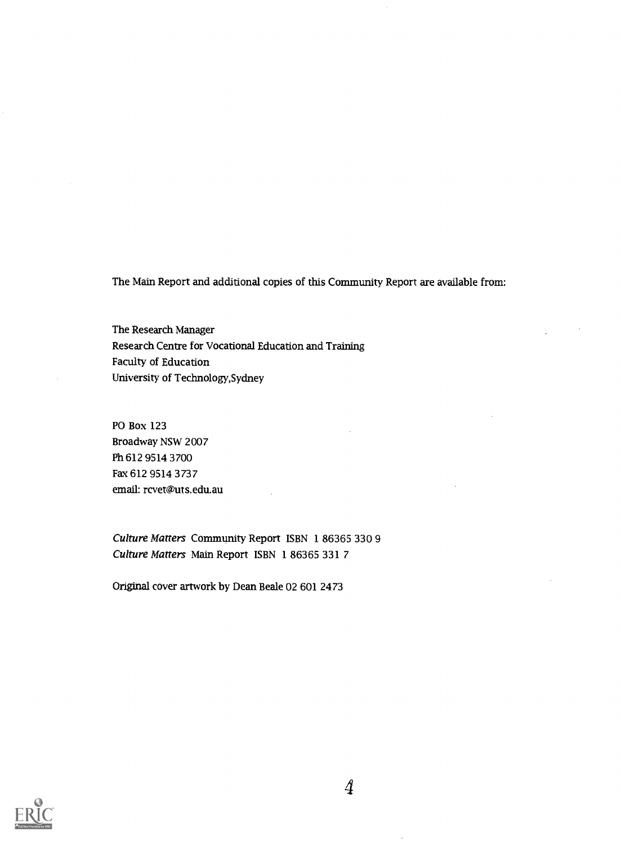The Main Report and additional copies of this Community Report are available from:

The Research Manager Research Centre for Vocational Education and Training Faculty of Education University of Technology,Sydney

PO Box 123 Broadway NSW 2007 Ph 612 9514 3700 Fax 612 9514 3737 email: rcvet@uts.edu.au

Culture Matters Community Report ISBN 1 86365 330 9 Culture Matters Main Report ISBN 1 86365 331 7

Original cover artwork by Dean Beale 02 601 2473



 $\varphi$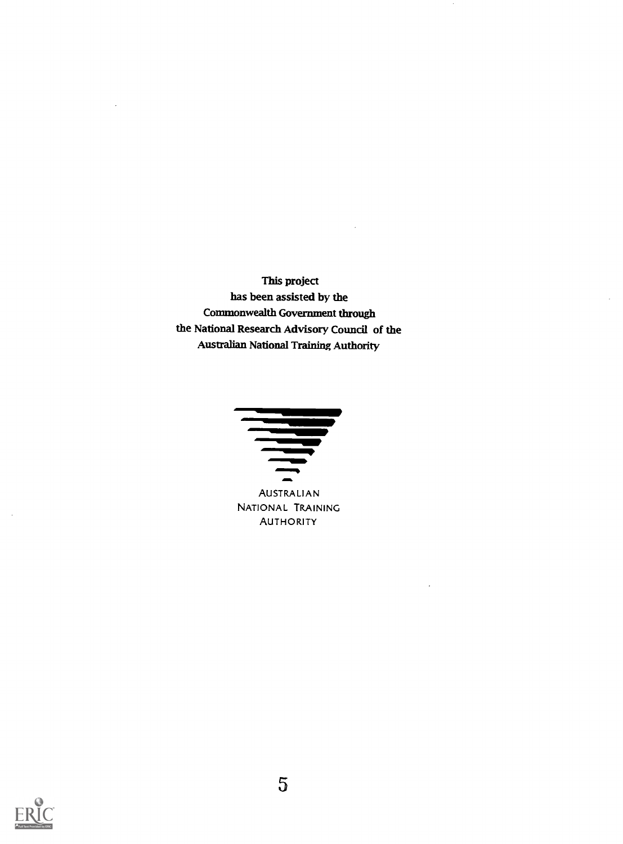This project has been assisted by the Commonwealth Government through the National Research Advisory Council of the Australian National Training Authority



AUSTRALIAN NATIONAL TRAINING **AUTHORITY** 



 $\bar{z}$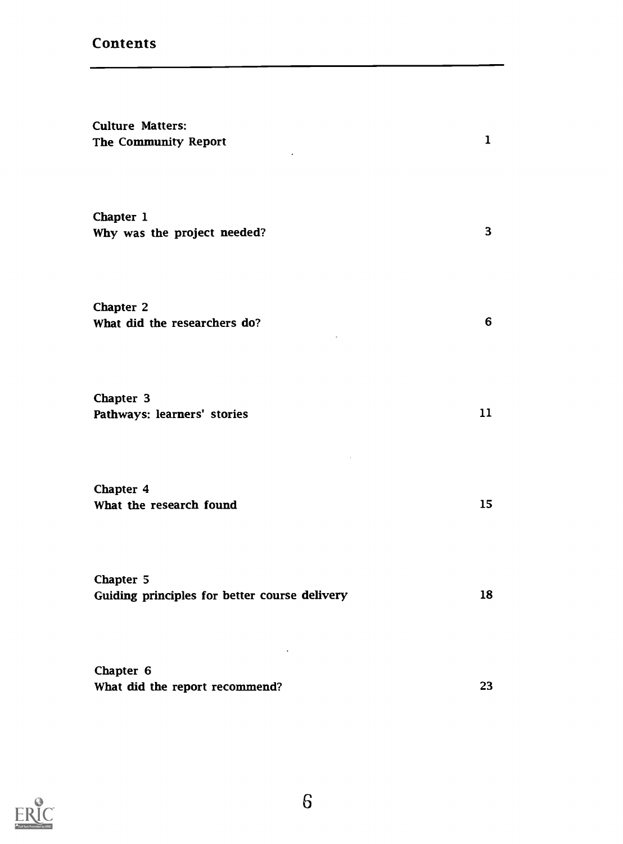### **Contents**

| <b>Culture Matters:</b><br>The Community Report            | $\mathbf 1$ |
|------------------------------------------------------------|-------------|
| Chapter 1<br>Why was the project needed?                   | 3           |
| Chapter 2<br>What did the researchers do?                  | 6           |
| Chapter 3<br>Pathways: learners' stories                   | 11          |
| Chapter 4<br>What the research found                       | 15          |
| Chapter 5<br>Guiding principles for better course delivery | 18          |
| Chapter 6<br>What did the report recommend?                | 23          |

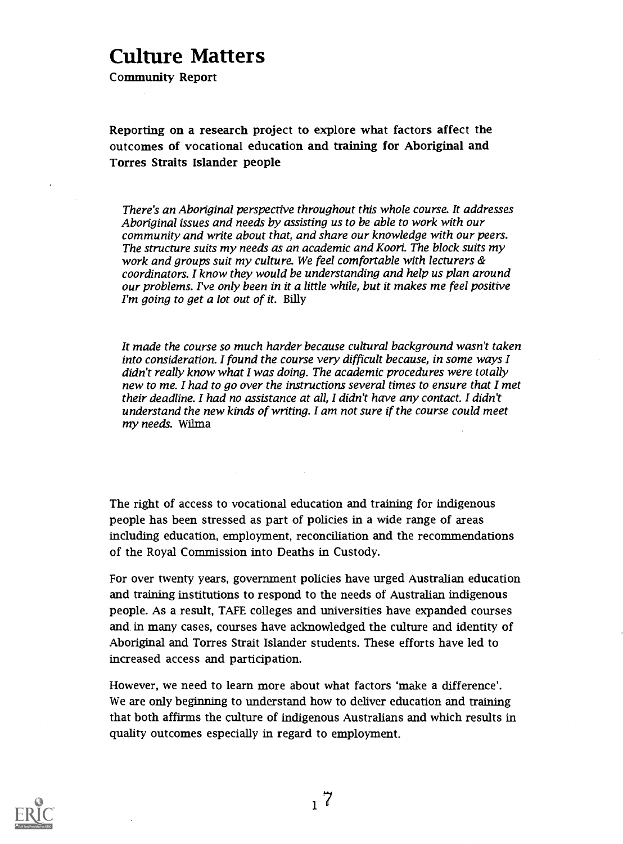# Culture Matters

Community Report

Reporting on a research project to explore what factors affect the outcomes of vocational education and training for Aboriginal and Torres Straits Islander people

There's an Aboriginal perspective throughout this whole course. It addresses Aboriginal issues and needs by assisting us to be able to work with our community and write about that, and share our knowledge with our peers. The structure suits my needs as an academic and Koori. The block suits my work and groups suit my culture. We feel comfortable with lecturers & coordinators. I know they would be understanding and help us plan around our problems. I've only been in it a little while, but it makes me feel positive I'm going to get a lot out of it. Billy

It made the course so much harder because cultural background wasn't taken into consideration. I found the course very difficult because, in some ways I didn't really know what I was doing. The academic procedures were totally new to me. I had to go over the instructions several times to ensure that I met their deadline. I had no assistance at all, I didn't have any contact. I didn't understand the new kinds of writing. I am not sure if the course could meet my needs. Wilma

The right of access to vocational education and training for indigenous people has been stressed as part of policies in a wide range of areas including education, employment, reconciliation and the recommendations of the Royal Commission into Deaths in Custody.

For over twenty years, government policies have urged Australian education and training institutions to respond to the needs of Australian indigenous people. As a result, TAFE colleges and universities have expanded courses and in many cases, courses have acknowledged the culture and identity of Aboriginal and Torres Strait Islander students. These efforts have led to increased access and participation.

However, we need to learn more about what factors 'make a difference'. We are only beginning to understand how to deliver education and training that both affirms the culture of indigenous Australians and which results in quality outcomes especially in regard to employment.

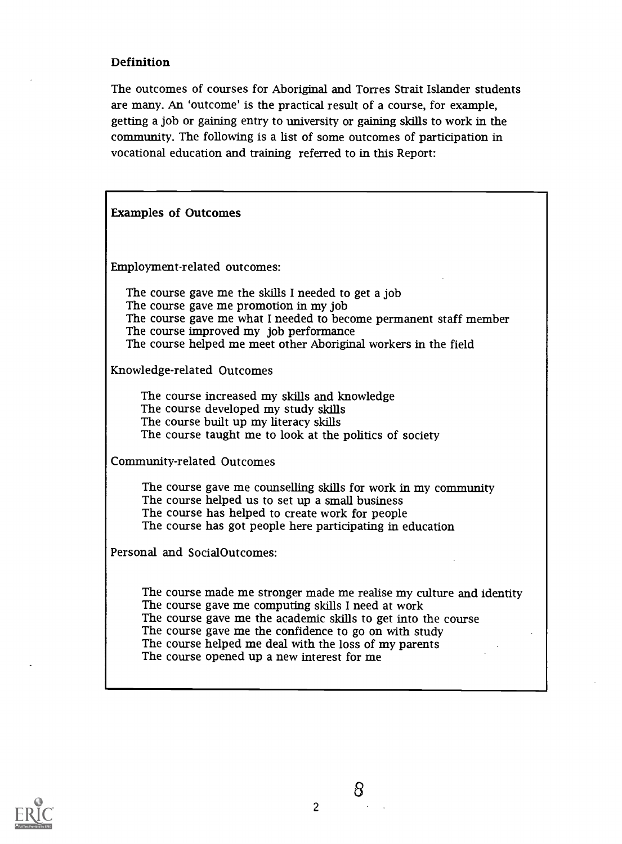#### Definition

The outcomes of courses for Aboriginal and Torres Strait Islander students are many. An 'outcome' is the practical result of a course, for example, getting a job or gaining entry to university or gaining skills to work in the community. The following is a list of some outcomes of participation in vocational education and training referred to in this Report:

| <b>Examples of Outcomes</b>                                                                                                                                                                                                                                                                                                                                |
|------------------------------------------------------------------------------------------------------------------------------------------------------------------------------------------------------------------------------------------------------------------------------------------------------------------------------------------------------------|
| Employment-related outcomes:                                                                                                                                                                                                                                                                                                                               |
| The course gave me the skills I needed to get a job<br>The course gave me promotion in my job<br>The course gave me what I needed to become permanent staff member<br>The course improved my job performance<br>The course helped me meet other Aboriginal workers in the field                                                                            |
| Knowledge-related Outcomes                                                                                                                                                                                                                                                                                                                                 |
| The course increased my skills and knowledge<br>The course developed my study skills<br>The course built up my literacy skills<br>The course taught me to look at the politics of society                                                                                                                                                                  |
| Community-related Outcomes                                                                                                                                                                                                                                                                                                                                 |
| The course gave me counselling skills for work in my community<br>The course helped us to set up a small business<br>The course has helped to create work for people<br>The course has got people here participating in education                                                                                                                          |
| Personal and SocialOutcomes:                                                                                                                                                                                                                                                                                                                               |
| The course made me stronger made me realise my culture and identity<br>The course gave me computing skills I need at work<br>The course gave me the academic skills to get into the course<br>The course gave me the confidence to go on with study<br>The course helped me deal with the loss of my parents<br>The course opened up a new interest for me |

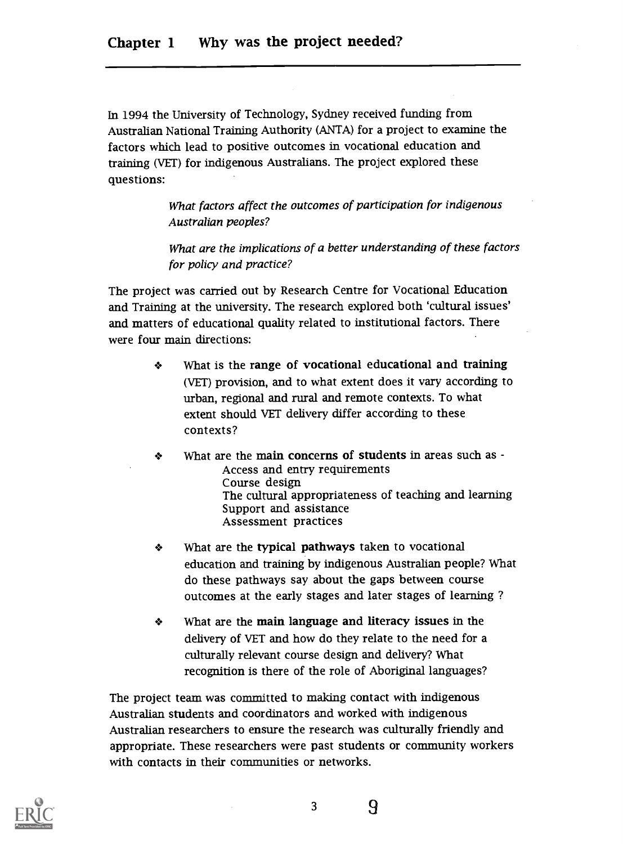In 1994 the University of Technology, Sydney received funding from Australian National Training Authority (ANTA) for a project to examine the factors which lead to positive outcomes in vocational education and training (VET) for indigenous Australians. The project explored these questions:

> What factors affect the outcomes of participation for indigenous Australian peoples?

What are the implications of a better understanding of these factors for policy and practice?

The project was carried out by Research Centre for Vocational Education and Training at the university. The research explored both 'cultural issues' and matters of educational quality related to institutional factors. There were four main directions:

- + What is the range of vocational educational and training (VET) provision, and to what extent does it vary according to urban, regional and rural and remote contexts. To what extent should VET delivery differ according to these contexts?
- $\clubsuit$ What are the main concerns of students in areas such as -Access and entry requirements Course design The cultural appropriateness of teaching and learning Support and assistance Assessment practices
- What are the typical pathways taken to vocational ❖ education and training by indigenous Australian people? What do these pathways say about the gaps between course outcomes at the early stages and later stages of learning ?
- What are the main language and literacy issues in the ❖ delivery of VET and how do they relate to the need for a culturally relevant course design and delivery? What recognition is there of the role of Aboriginal languages?

The project team was committed to making contact with indigenous Australian students and coordinators and worked with indigenous Australian researchers to ensure the research was culturally friendly and appropriate. These researchers were past students or community workers with contacts in their communities or networks.

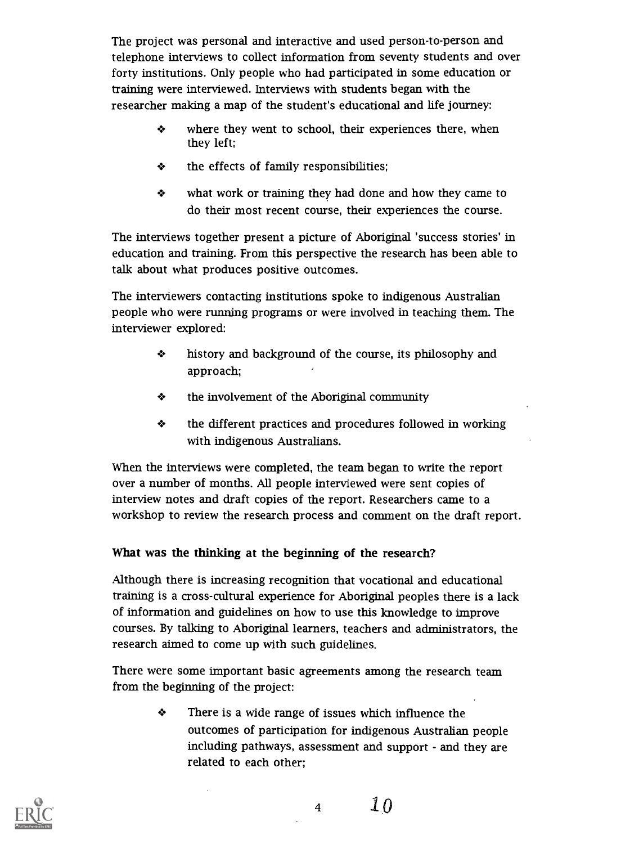The project was personal and interactive and used person-to-person and telephone interviews to collect information from seventy students and over forty institutions. Only people who had participated in some education or training were interviewed. Interviews with students began with the researcher making a map of the student's educational and life journey:

- $\bullet$ where they went to school, their experiences there, when they left;
- the effects of family responsibilities; ❖
- ❖ what work or training they had done and how they came to do their most recent course, their experiences the course.

The interviews together present a picture of Aboriginal 'success stories' in education and training. From this perspective the research has been able to talk about what produces positive outcomes.

The interviewers contacting institutions spoke to indigenous Australian people who were running programs or were involved in teaching them. The interviewer explored:

- ÷ history and background of the course, its philosophy and approach;
- ❖ the involvement of the Aboriginal community
- $\clubsuit$ the different practices and procedures followed in working with indigenous Australians.

When the interviews were completed, the team began to write the report over a number of months. All people interviewed were sent copies of interview notes and draft copies of the report. Researchers came to a workshop to review the research process and comment on the draft report.

#### What was the thinking at the beginning of the research?

Although there is increasing recognition that vocational and educational training is a cross-cultural experience for Aboriginal peoples there is a lack of information and guidelines on how to use this knowledge to improve courses. By talking to Aboriginal learners, teachers and administrators, the research aimed to come up with such guidelines

There were some important basic agreements among the research team from the beginning of the project:

> ❖ There is a wide range of issues which influence the outcomes of participation for indigenous Australian people including pathways, assessment and support - and they are related to each other;



<sup>4</sup> 1.0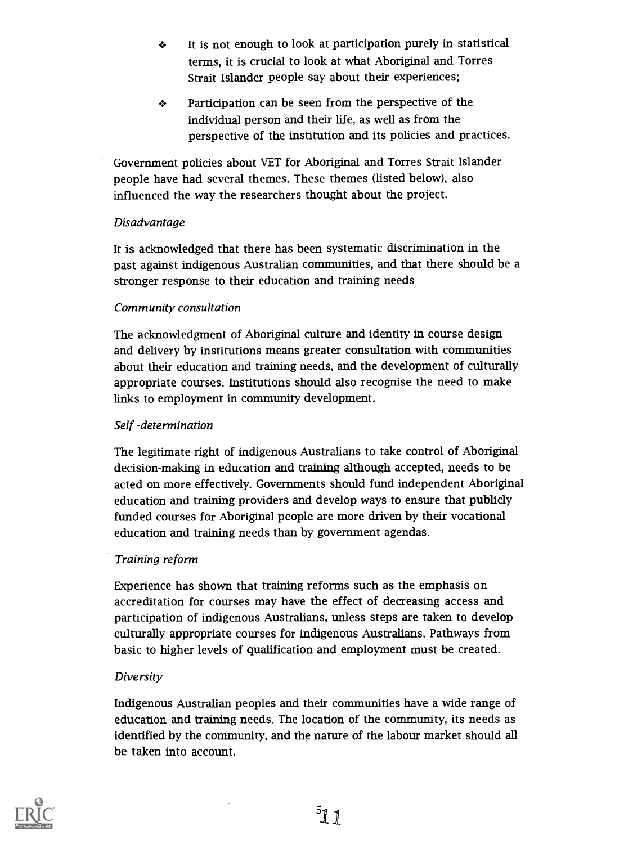- It is not enough to look at participation purely in statistical ÷ terms, it is crucial to look at what Aboriginal and Torres Strait Islander people say about their experiences;
- Participation can be seen from the perspective of the ❖ individual person and their life, as well as from the perspective of the institution and its policies and practices.

Government policies about VET for Aboriginal and Torres Strait Islander people have had several themes. These themes (listed below), also influenced the way the researchers thought about the project.

#### Disadvantage

It is acknowledged that there has been systematic discrimination in the past against indigenous Australian communities, and that there should be a stronger response to their education and training needs

#### Community consultation

The acknowledgment of Aboriginal culture and identity in course design and delivery by institutions means greater consultation with communities about their education and training needs, and the development of culturally appropriate courses. Institutions should also recognise the need to make links to employment in community development.

#### Self -determination

The legitimate right of indigenous Australians to take control of Aboriginal decision-making in education and training although accepted, needs to be acted on more effectively. Governments should fund independent Aboriginal education and training providers and develop ways to ensure that publicly funded courses for Aboriginal people are more driven by their vocational education and training needs than by government agendas.

#### Training reform

Experience has shown that training reforms such as the emphasis on accreditation for courses may have the effect of decreasing access and participation of indigenous Australians, unless steps are taken to develop culturally appropriate courses for indigenous Australians. Pathways from basic to higher levels of qualification and employment must be created.

#### Diversity

Indigenous Australian peoples and their communities have a wide range of education and training needs. The location of the community, its needs as identified by the community, and the nature of the labour market should all be taken into account.

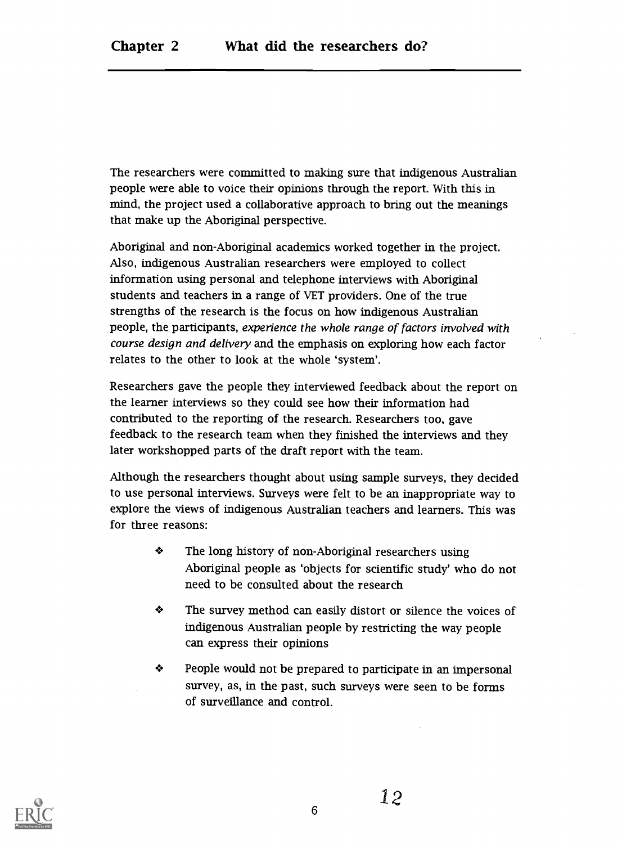The researchers were committed to making sure that indigenous Australian people were able to voice their opinions through the report. With this in mind, the project used a collaborative approach to bring out the meanings that make up the Aboriginal perspective.

Aboriginal and non-Aboriginal academics worked together in the project. Also, indigenous Australian researchers were employed to collect information using personal and telephone interviews with Aboriginal students and teachers in a range of VET providers. One of the true strengths of the research is the focus on how indigenous Australian people, the participants, experience the whole range of factors involved with course design and delivery and the emphasis on exploring how each factor relates to the other to look at the whole 'system'.

Researchers gave the people they interviewed feedback about the report on the learner interviews so they could see how their information had contributed to the reporting of the research. Researchers too, gave feedback to the research team when they finished the interviews and they later workshopped parts of the draft report with the team.

Although the researchers thought about using sample surveys, they decided to use personal interviews. Surveys were felt to be an inappropriate way to explore the views of indigenous Australian teachers and learners. This was for three reasons:

- ÷ The long history of non-Aboriginal researchers using Aboriginal people as 'objects for scientific study' who do not need to be consulted about the research
- ❖ The survey method can easily distort or silence the voices of indigenous Australian people by restricting the way people can express their opinions
- ❖ People would not be prepared to participate in an impersonal survey, as, in the past, such surveys were seen to be forms of surveillance and control.

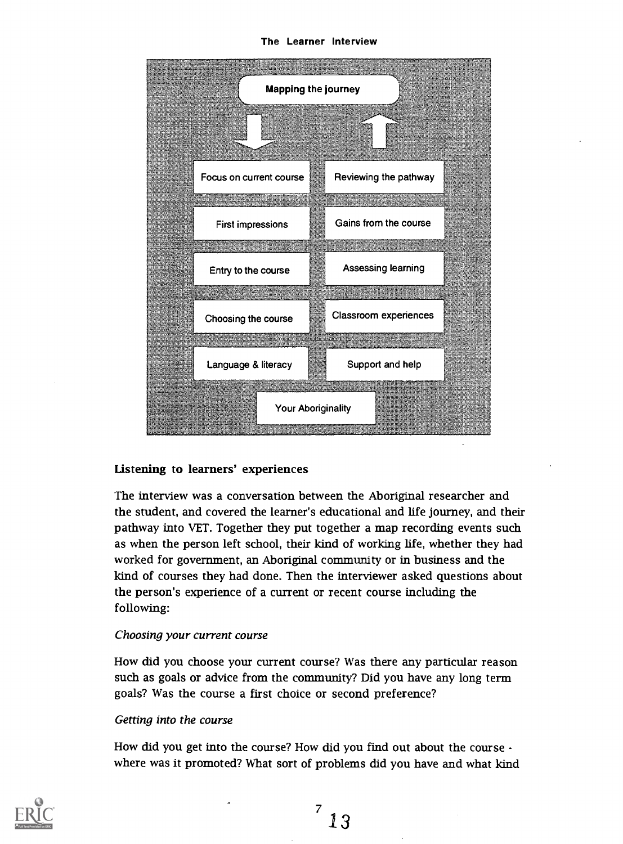The Learner Interview



#### Listening to learners' experiences

The interview was a conversation between the Aboriginal researcher and the student, and covered the learner's educational and life journey, and their pathway into VET. Together they put together a map recording events such as when the person left school, their kind of working life, whether they had worked for government, an Aboriginal community or in business and the kind of courses they had done. Then the interviewer asked questions about the person's experience of a current or recent course including the following:

#### Choosing your current course

How did you choose your current course? Was there any particular reason such as goals or advice from the community? Did you have any long term goals? Was the course a first choice or second preference?

#### Getting into the course

How did you get into the course? How did you find out about the course where was it promoted? What sort of problems did you have and what kind

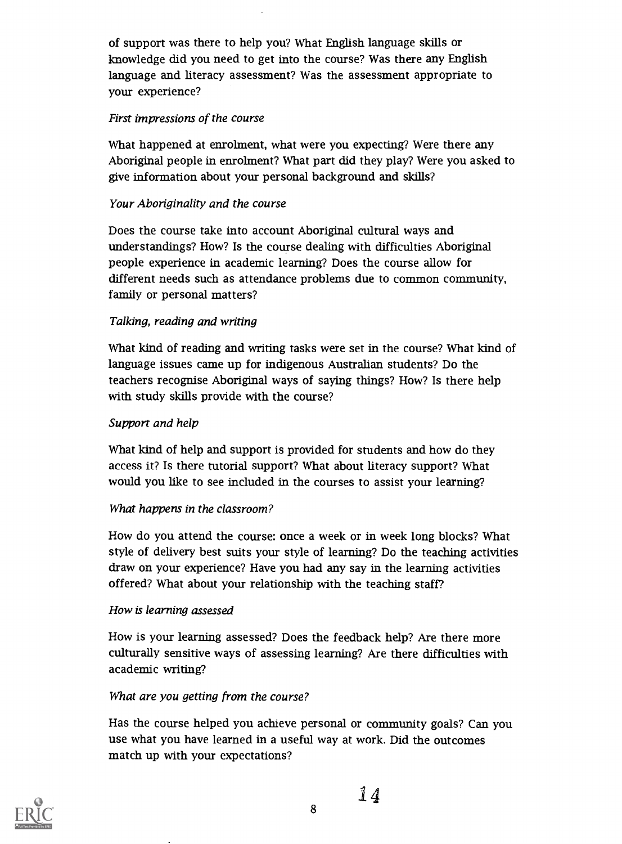of support was there to help you? What English language skills or knowledge did you need to get into the course? Was there any English language and literacy assessment? Was the assessment appropriate to your experience?

#### First impressions of the course

What happened at enrolment, what were you expecting? Were there any Aboriginal people in enrolment? What part did they play? Were you asked to give information about your personal background and skills?

#### Your Aboriginality and the course

Does the course take into account Aboriginal cultural ways and understandings? How? Is the course dealing with difficulties Aboriginal people experience in academic learning? Does the course allow for different needs such as attendance problems due to common community, family or personal matters?

#### Talking, reading and writing

What kind of reading and writing tasks were set in the course? What kind of language issues came up for indigenous Australian students? Do the teachers recognise Aboriginal ways of saying things? How? Is there help with study skills provide with the course?

#### Support and help

What kind of help and support is provided for students and how do they access it? Is there tutorial support? What about literacy support? What would you like to see included in the courses to assist your learning?

#### What happens in the classroom?

How do you attend the course: once a week or in week long blocks? What style of delivery best suits your style of learning? Do the teaching activities draw on your experience? Have you had any say in the learning activities offered? What about your relationship with the teaching staff?

#### How is learning assessed

How is your learning assessed? Does the feedback help? Are there more culturally sensitive ways of assessing learning? Are there difficulties with academic writing?

#### What are you getting from the course?

Has the course helped you achieve personal or community goals? Can you use what you have learned in a useful way at work. Did the outcomes match up with your expectations?



14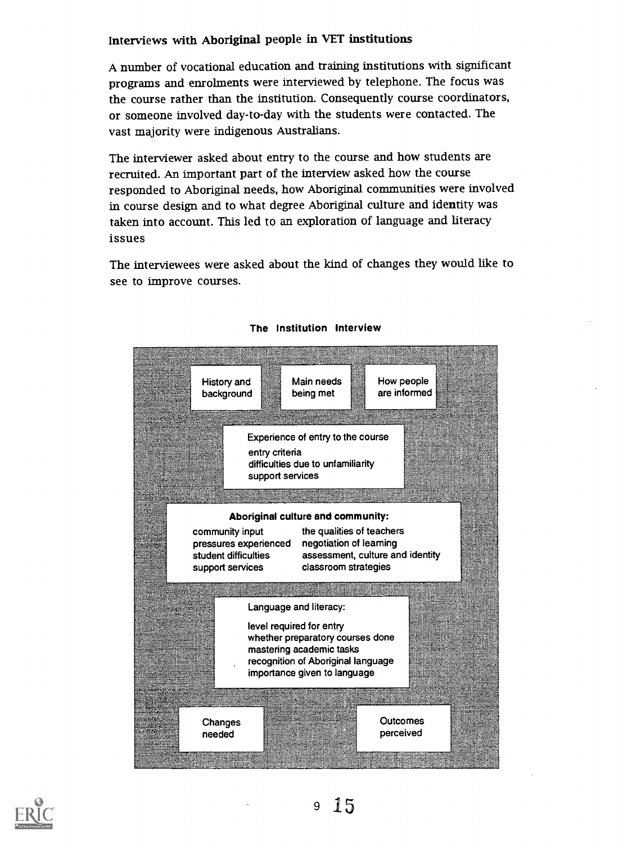#### Interviews with Aboriginal people in VET institutions

A number of vocational education and training institutions with significant programs and enrolments were interviewed by telephone. The focus was the course rather than the institution. Consequently course coordinators, or someone involved day-to-day with the students were contacted. The vast majority were indigenous Australians.

The interviewer asked about entry to the course and how students are recruited. An important part of the interview asked how the course responded to Aboriginal needs, how Aboriginal communities were involved in course design and to what degree Aboriginal culture and identity was taken into account. This led to an exploration of language and literacy issues

The interviewees were asked about the kind of changes they would like to see to improve courses.



#### The Institution Interview

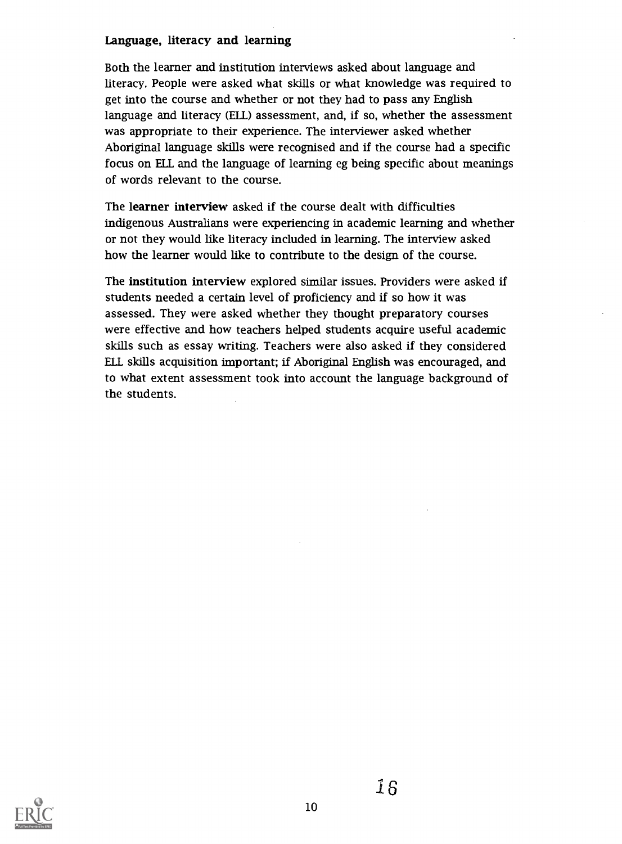#### Language, literacy and learning

Both the learner and institution interviews asked about language and literacy. People were asked what skills or what knowledge was required to get into the course and whether or not they had to pass any English language and literacy (ELL) assessment, and, if so, whether the assessment was appropriate to their experience. The interviewer asked whether Aboriginal language skills were recognised and if the course had a specific focus on ELL and the language of learning eg being specific about meanings of words relevant to the course.

The learner interview asked if the course dealt with difficulties indigenous Australians were experiencing in academic learning and whether or not they would like literacy included in learning. The interview asked how the learner would like to contribute to the design of the course.

The institution interview explored similar issues. Providers were asked if students needed a certain level of proficiency and if so how it was assessed. They were asked whether they thought preparatory courses were effective and how teachers helped students acquire useful academic skills such as essay writing. Teachers were also asked if they considered ELL skills acquisition important; if Aboriginal English was encouraged, and to what extent assessment took into account the language background of the students.

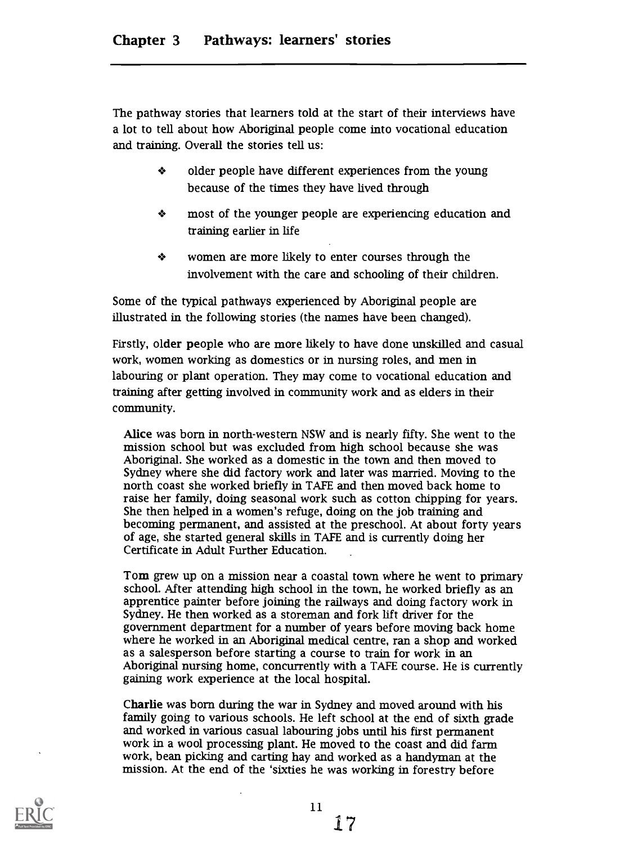The pathway stories that learners told at the start of their interviews have a lot to tell about how Aboriginal people come into vocational education and training. Overall the stories tell us:

- ÷ older people have different experiences from the young because of the times they have lived through
- $\bullet$ most of the younger people are experiencing education and training earlier in life
- ÷ women are more likely to enter courses through the involvement with the care and schooling of their children.

Some of the typical pathways experienced by Aboriginal people are illustrated in the following stories (the names have been changed).

Firstly, older people who are more likely to have done unskilled and casual work, women working as domestics or in nursing roles, and men in labouring or plant operation. They may come to vocational education and training after getting involved in community work and as elders in their community.

Alice was born in north-western NSW and is nearly fifty. She went to the mission school but was excluded from high school because she was Aboriginal. She worked as a domestic in the town and then moved to Sydney where she did factory work and later was married. Moving to the north coast she worked briefly in TAFE and then moved back home to raise her family, doing seasonal work such as cotton chipping for years. She then helped in a women's refuge, doing on the job training and becoming permanent, and assisted at the preschool. At about forty years of age, she started general skills in TAFE and is currently doing her Certificate in Adult Further Education.

Tom grew up on a mission near a coastal town where he went to primary school. After attending high school in the town, he worked briefly as an apprentice painter before joining the railways and doing factory work in Sydney. He then worked as a storeman and fork lift driver for the government department for a number of years before moving back home where he worked in an Aboriginal medical centre, ran a shop and worked as a salesperson before starting a course to train for work in an Aboriginal nursing home, concurrently with a TAFE course. He is currently gaining work experience at the local hospital.

Charlie was born during the war in Sydney and moved around with his family going to various schools. He left school at the end of sixth grade and worked in various casual labouring jobs until his first permanent work in a wool processing plant. He moved to the coast and did farm work, bean picking and carting hay and worked as a handyman at the mission. At the end of the 'sixties he was working in forestry before



17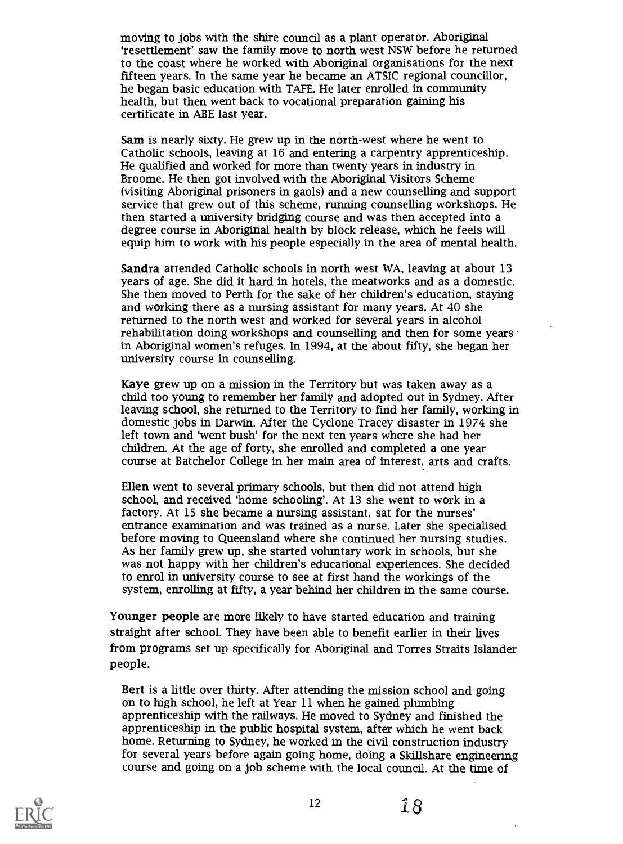moving to jobs with the shire council as a plant operator. Aboriginal 'resettlement' saw the family move to north west NSW before he returned to the coast where he worked with Aboriginal organisations for the next fifteen years. In the same year he became an ATSIC regional councillor, he began basic education with TAFE. He later enrolled in community health, but then went back to vocational preparation gaining his certificate in ABE last year.

Sam is nearly sixty. He grew up in the north-west where he went to Catholic schools, leaving at 16 and entering a carpentry apprenticeship. He qualified and worked for more than twenty years in industry in Broome. He then got involved with the Aboriginal Visitors Scheme (visiting Aboriginal prisoners in gaols) and a new counselling and support service that grew out of this scheme, running counselling workshops. He then started a university bridging course and was then accepted into a degree course in Aboriginal health by block release, which he feels will equip him to work with his people especially in the area of mental health.

Sandra attended Catholic schools in north west WA, leaving at about 13 years of age. She did it hard in hotels, the meatworks and as a domestic. She then moved to Perth for the sake of her children's education, staying and working there as a nursing assistant for many years. At 40 she returned to the north west and worked for several years in alcohol rehabilitation doing workshops and counselling and then for some years in Aboriginal women's refuges. In 1994, at the about fifty, she began her university course in counselling.

Kaye grew up on a mission in the Territory but was taken away as a child too young to remember her family and adopted out in Sydney. After leaving school, she returned to the Territory to find her family, working in domestic jobs in Darwin. After the Cyclone Tracey disaster in 1974 she left town and 'went bush' for the next ten years where she had her children. At the age of forty, she enrolled and completed a one year course at Batchelor College in her main area of interest, arts and crafts.

Ellen went to several primary schools, but then did not attend high school, and received 'home schooling'. At 13 she went to work in a factory. At 15 she became a nursing assistant, sat for the nurses' entrance examination and was trained as a nurse. Later she specialised before moving to Queensland where she continued her nursing studies. As her family grew up, she started voluntary work in schools, but she was not happy with her children's educational experiences. She decided to enrol in university course to see at first hand the workings of the system, enrolling at fifty, a year behind her children in the same course.

Younger people are more likely to have started education and training straight after school. They have been able to benefit earlier in their lives from programs set up specifically for Aboriginal and Torres Straits Islander people.

Bert is a little over thirty. After attending the mission school and going on to high school, he left at Year 11 when he gained plumbing apprenticeship with the railways. He moved to Sydney and finished the apprenticeship in the public hospital system, after which he went back home. Returning to Sydney, he worked in the civil construction industry for several years before again going home, doing a Skillshare engineering course and going on a job scheme with the local council. At the time of

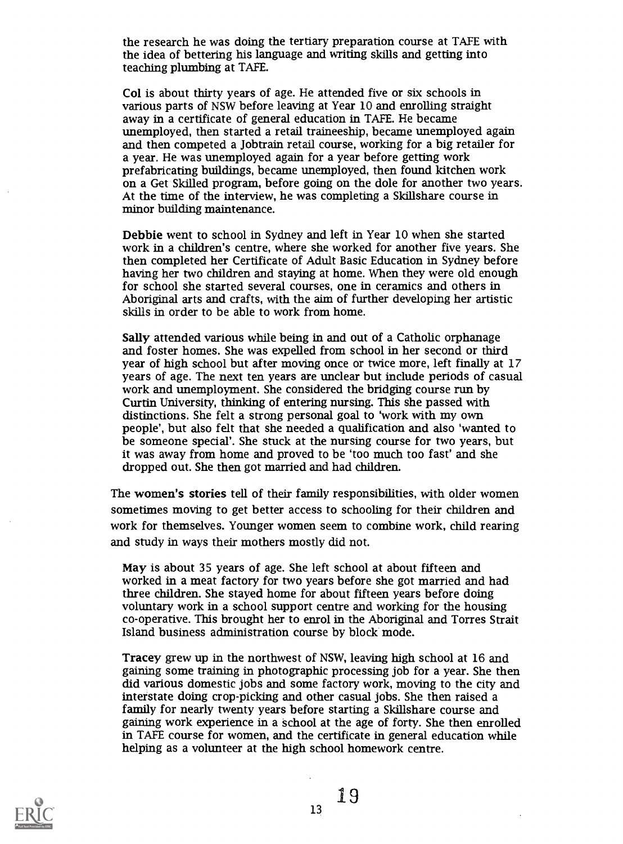the research he was doing the tertiary preparation course at TAFE with the idea of bettering his language and writing skills and getting into teaching plumbing at TAFE.

Col is about thirty years of age. He attended five or six schools in various parts of NSW before leaving at Year 10 and enrolling straight away in a certificate of general education in TAFE. He became unemployed, then started a retail traineeship, became unemployed again and then competed a Jobtrain retail course, working for a big retailer for a year. He was unemployed again for a year before getting work prefabricating buildings, became unemployed, then found kitchen work on a Get Skilled program, before going on the dole for another two years. At the time of the interview, he was completing a Skillshare course in minor building maintenance.

Debbie went to school in Sydney and left in Year 10 when she started work in a children's centre, where she worked for another five years. She then completed her Certificate of Adult Basic Education in Sydney before having her two children and staying at home. When they were old enough for school she started several courses, one in ceramics and others in Aboriginal arts and crafts, with the aim of further developing her artistic skills in order to be able to work from home.

Sally attended various while being in and out of a Catholic orphanage and foster homes. She was expelled from school in her second or third year of high school but after moving once or twice more, left finally at 17 years of age. The next ten years are undear but include periods of casual work and unemployment. She considered the bridging course run by Curtin University, thinking of entering nursing. This she passed with distinctions. She felt a strong personal goal to 'work with my own people', but also felt that she needed a qualification and also 'wanted to be someone special'. She stuck at the nursing course for two years, but it was away from home and proved to be 'too much too fast' and she dropped out. She then got married and had children.

The women's stories tell of their family responsibilities, with older women sometimes moving to get better access to schooling for their children and work for themselves. Younger women seem to combine work, child rearing and study in ways their mothers mostly did not.

May is about 35 years of age. She left school at about fifteen and worked in a meat factory for two years before she got married and had three children. She stayed home for about fifteen years before doing voluntary work in a school support centre and working for the housing co-operative. This brought her to enrol in the Aboriginal and Torres Strait Island business administration course by block mode.

Tracey grew up in the northwest of NSW, leaving high school at 16 and gaining some training in photographic processing job for a year. She then did various domestic jobs and some factory work, moving to the city and interstate doing crop-picking and other casual jobs. She then raised a family for nearly twenty years before starting a Skillshare course and gaining work experience in a school at the age of forty. She then enrolled in TAFE course for women, and the certificate in general education while helping as a volunteer at the high school homework centre.

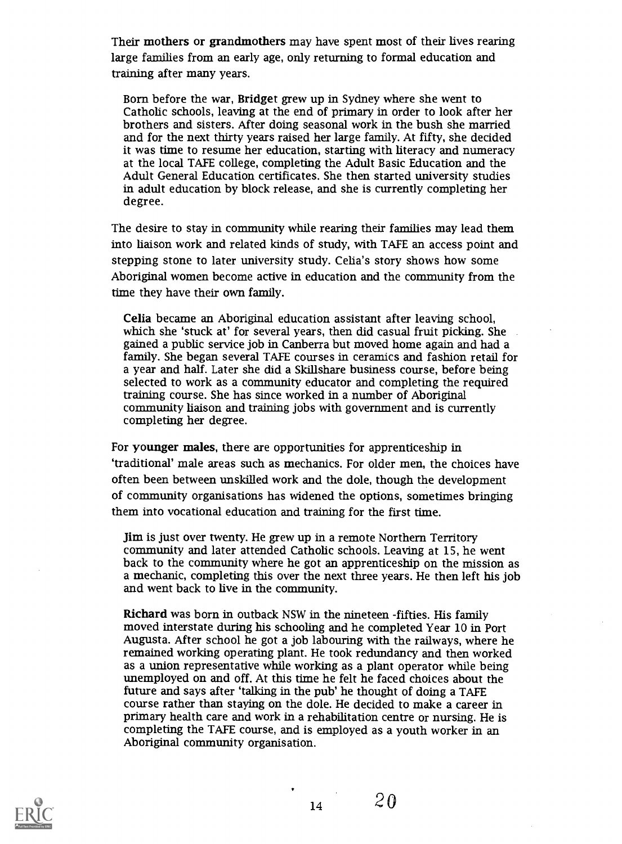Their mothers or grandmothers may have spent most of their lives rearing large families from an early age, only returning to formal education and training after many years.

Born before the war, Bridget grew up in Sydney where she went to Catholic schools, leaving at the end of primary in order to look after her brothers and sisters. After doing seasonal work in the bush she married and for the next thirty years raised her large family At fifty, she decided it was time to resume her education, starting with literacy and numeracy at the local TAFE college, completing the Adult Basic Education and the Adult General Education certificates. She then started university studies in adult education by block release, and she is currently completing her degree.

The desire to stay in community while rearing their families may lead them into liaison work and related kinds of study, with TAFE an access point and stepping stone to later university study. Celia's story shows how some Aboriginal women become active in education and the community from the time they have their own family.

Celia became an Aboriginal education assistant after leaving school, which she 'stuck at' for several years, then did casual fruit picking. She gained a public service job in Canberra but moved home again and had a family. She began several TAFE courses in ceramics and fashion retail for a year and half. Later she did a Skillshare business course, before being selected to work as a community educator and completing the required training course. She has since worked in a number of Aboriginal community liaison and training jobs with government and is currently completing her degree.

For younger males, there are opportunities for apprenticeship in 'traditional' male areas such as mechanics. For older men, the choices have often been between unskilled work and the dole, though the development of community organisations has widened the options, sometimes bringing them into vocational education and training for the first time.

Jim is just over twenty. He grew up in a remote Northern Territory community and later attended Catholic schools. Leaving at 15, he went back to the community where he got an apprenticeship on the mission as a mechanic, completing this over the next three years. He then left his job and went back to live in the community.

Richard was born in outback NSW in the nineteen -fifties. His family moved interstate during his schooling and he completed Year 10 in Port Augusta. After school he got a job labouring with the railways, where he remained working operating plant. He took redundancy and then worked as a union representative while working as a plant operator while being unemployed on and off. At this time he felt he faced choices about the future and says after 'talking in the pub' he thought of doing a TAFE course rather than staying on the dole. He decided to make a career in primary health care and work in a rehabilitation centre or nursing. He is completing the TAFE course, and is employed as a youth worker in an Aboriginal community organisation.

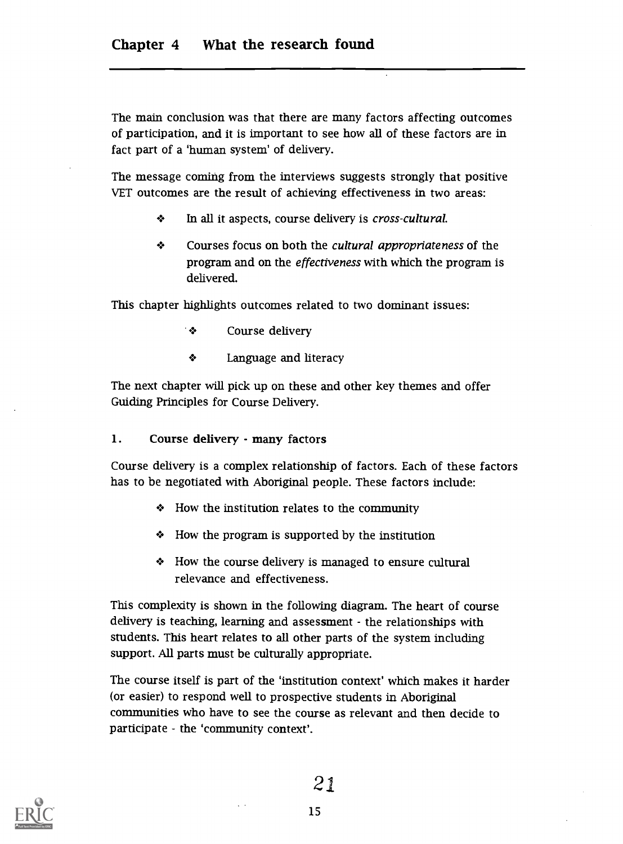The main conclusion was that there are many factors affecting outcomes of participation, and it is important to see how all of these factors are in fact part of a 'human system' of delivery.

The message coming from the interviews suggests strongly that positive VET outcomes are the result of achieving effectiveness in two areas:

- $\mathbf{r}$ In all it aspects, course delivery is cross-cultural.
- $\clubsuit$ Courses focus on both the cultural appropriateness of the program and on the effectiveness with which the program is delivered.

This chapter highlights outcomes related to two dominant issues:

- Course delivery  $\mathcal{L}$
- ❖ Language and literacy

The next chapter will pick up on these and other key themes and offer Guiding Principles for Course Delivery.

1. Course delivery - many factors

Course delivery is a complex relationship of factors. Each of these factors has to be negotiated with Aboriginal people. These factors include:

- $\triangleleft$  How the institution relates to the community
- How the program is supported by the institution
- How the course delivery is managed to ensure cultural relevance and effectiveness.

This complexity is shown in the following diagram. The heart of course delivery is teaching, learning and assessment - the relationships with students. This heart relates to all other parts of the system including support. All parts must be culturally appropriate.

The course itself is part of the 'institution context' which makes it harder (or easier) to respond well to prospective students in Aboriginal communities who have to see the course as relevant and then decide to participate - the 'community context'.

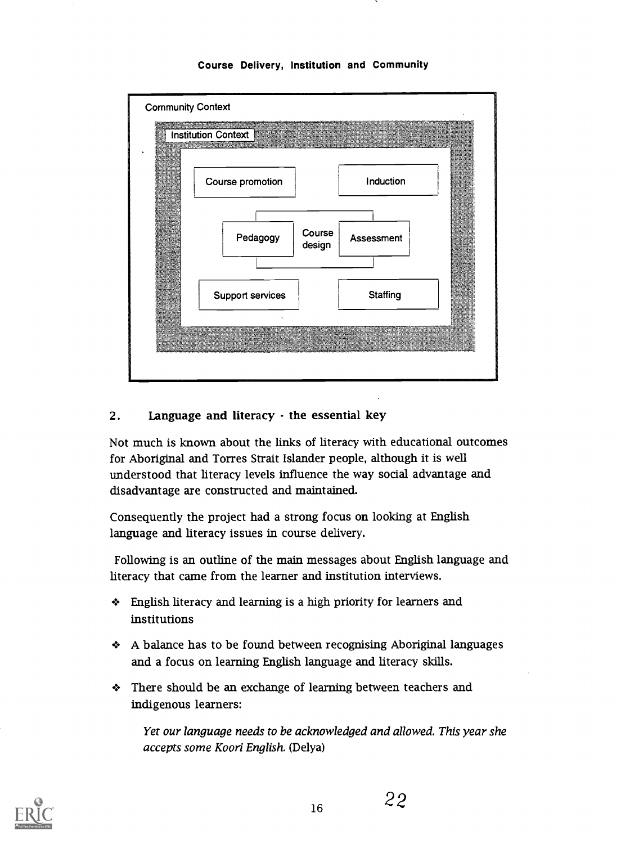

#### Course Delivery, Institution and Community

#### 2. Language and literacy - the essential key

Not much is known about the links of literacy with educational outcomes for Aboriginal and Torres Strait Islander people, although it is well understood that literacy levels influence the way social advantage and disadvantage are constructed and maintained.

Consequently the project had a strong focus on looking at English language and literacy issues in course delivery.

Following is an outline of the main messages about English language and literacy that came from the learner and institution interviews.

- English literacy and learning is a high priority for learners and institutions
- A balance has to be found between recognising Aboriginal languages and a focus on learning English language and literacy skills.
- There should be an exchange of learning between teachers and indigenous learners:

Yet our language needs to be acknowledged and allowed. This year she accepts some Koori English. (Delya)

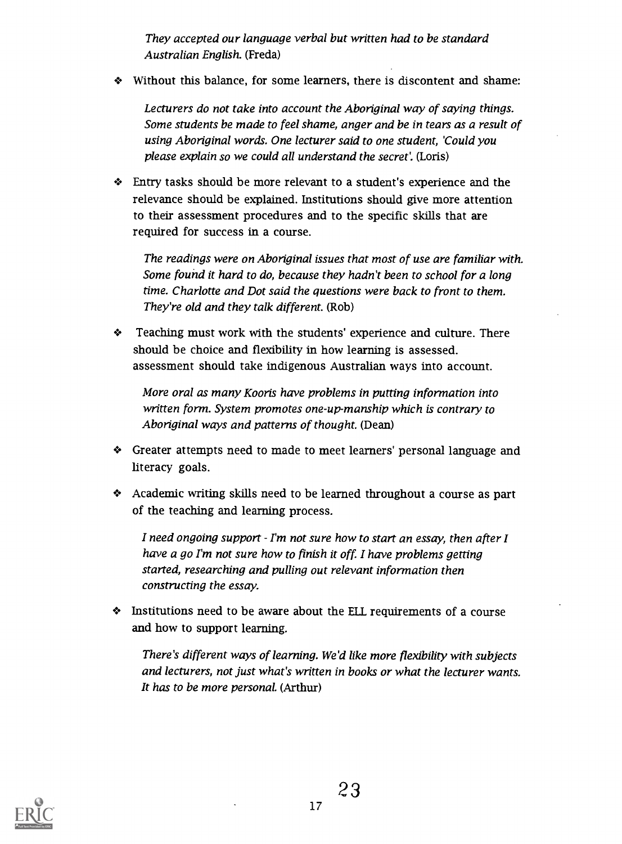They accepted our language verbal but written had to be standard Australian English. (Freda)

Without this balance, for some learners, there is discontent and shame:

Lecturers do not take into account the Aboriginal way of saying things. Some students be made to feel shame, anger and be in tears as a result of using Aboriginal words. One lecturer said to one student, 'Could you please explain so we could all understand the secret'. (Loris)

Entry tasks should be more relevant to a student's experience and the relevance should be explained. Institutions should give more attention to their assessment procedures and to the specific skills that are required for success in a course.

The readings were on Aboriginal issues that most of use are familiar with. Some found it hard to do, because they hadn't been to school for a long time. Charlotte and Dot said the questions were back to front to them. They're old and they talk different. (Rob)

Teaching must work with the students' experience and culture. There should be choice and flexibility in how learning is assessed. assessment should take indigenous Australian ways into account.

More oral as many Kooris have problems in putting information into written form. System promotes one-up-manship which is contrary to Aboriginal ways and patterns of thought. (Dean)

- Greater attempts need to made to meet learners' personal language and literacy goals.
- Academic writing skills need to be learned throughout a course as part of the teaching and learning process.

I need ongoing support  $\cdot$  I'm not sure how to start an essay, then after I have a go I'm not sure how to finish it off. I have problems getting started, researching and pulling out relevant information then constructing the essay.

Institutions need to be aware about the ELL requirements of a course and how to support learning.

There's different ways of learning. We'd like more flexibility with subjects and lecturers, not just what's written in books or what the lecturer wants. It has to be more personal. (Arthur)

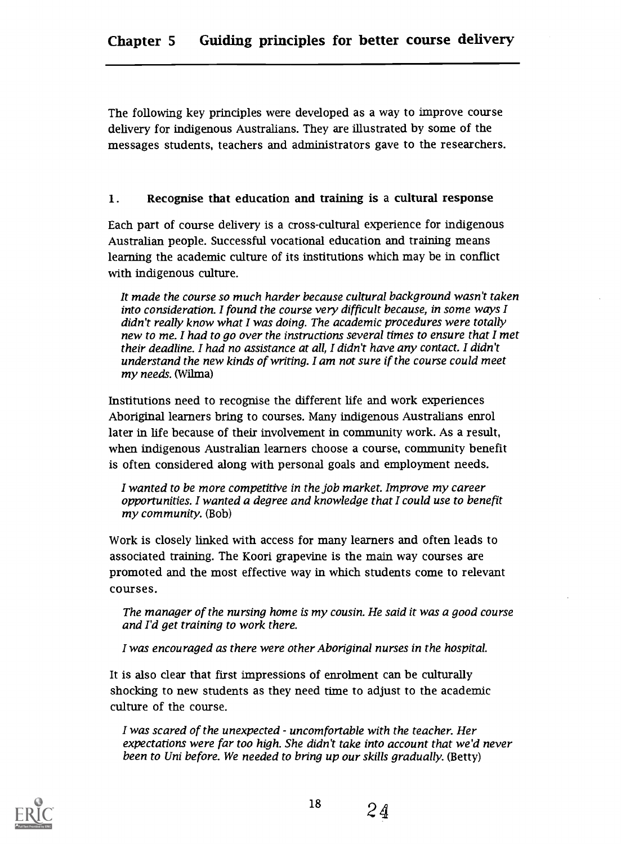The following key principles were developed as a way to improve course delivery for indigenous Australians. They are illustrated by some of the messages students, teachers and administrators gave to the researchers.

#### 1. Recognise that education and training is a cultural response

Each part of course delivery is a cross-cultural experience for indigenous Australian people. Successful vocational education and training means learning the academic culture of its institutions which may be in conflict with indigenous culture.

It made the course so much harder because cultural background wasn't taken into consideration. I found the course very difficult because, in some ways I didn't really know what I was doing. The academic procedures were totally new to me. I had to go over the instructions several times to ensure that I met their deadline. I had no assistance at all, I didn't have any contact. I didn't understand the new kinds of writing. I am not sure if the course could meet my needs. (Wilma)

Institutions need to recognise the different life and work experiences Aboriginal learners bring to courses. Many indigenous Australians enrol later in life because of their involvement in community work. As a result, when indigenous Australian learners choose a course, community benefit is often considered along with personal goals and employment needs.

I wanted to be more competitive in the job market. Improve my career opportunities. I wanted a degree and knowledge that I could use to benefit my community. (Bob)

Work is closely linked with access for many learners and often leads to associated training. The Koori grapevine is the main way courses are promoted and the most effective way in which students come to relevant courses.

The manager of the nursing home is my cousin. He said it was a good course and I'd get training to work there.

I was encouraged as there were other Aboriginal nurses in the hospital.

It is also dear that first impressions of enrolment can be culturally shocking to new students as they need time to adjust to the academic culture of the course.

I was scared of the unexpected - uncomfortable with the teacher. Her expectations were far too high. She didn't take into account that we'd never been to Uni before. We needed to bring up our skills gradually. (Betty)

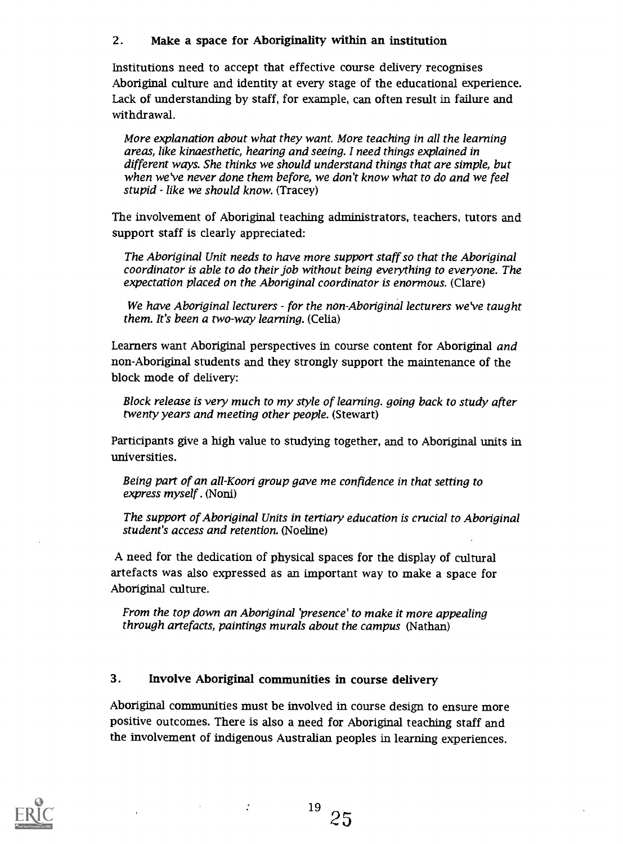#### 2. Make a space for Aboriginality within an institution

Institutions need to accept that effective course delivery recognises Aboriginal culture and identity at every stage of the educational experience. Lack of understanding by staff, for example, can often result in failure and withdrawal.

More explanation about what they want. More teaching in all the learning areas, like kinaesthetic, hearing and seeing. I need things explained in different ways. She thinks we should understand things that are simple, but when we've never done them before, we don't know what to do and we feel stupid - like we should know. (Tracey)

The involvement of Aboriginal teaching administrators, teachers, tutors and support staff is clearly appreciated:

The Aboriginal Unit needs to have more support staff so that the Aboriginal coordinator is able to do their job without being everything to everyone. The expectation placed on the Aboriginal coordinator is enormous. (Clare)

We have Aboriginal lecturers - for the non-Aboriginal lecturers we've taught them. It's been a two-way learning. (Celia)

Learners want Aboriginal perspectives in course content for Aboriginal and non-Aboriginal students and they strongly support the maintenance of the block mode of delivery:

Block release is very much to my style of learning. going back to study after twenty years and meeting other people. (Stewart)

Participants give a high value to studying together, and to Aboriginal units in universities.

Being part of an all-Koori group gave me confidence in that setting to express myself . (Noni)

The support of Aboriginal Units in tertiary education is crucial to Aboriginal student's access and retention. (Noeline)

A need for the dedication of physical spaces for the display of cultural artefacts was also expressed as an important way to make a space for Aboriginal culture.

From the top down an Aboriginal 'presence' to make it more appealing through artefacts, paintings murals about the campus (Nathan)

#### 3. Involve Aboriginal communities in course delivery

Aboriginal communities must be involved in course design to ensure more positive outcomes. There is also a need for Aboriginal teaching staff and the involvement of indigenous Australian peoples in learning experiences.

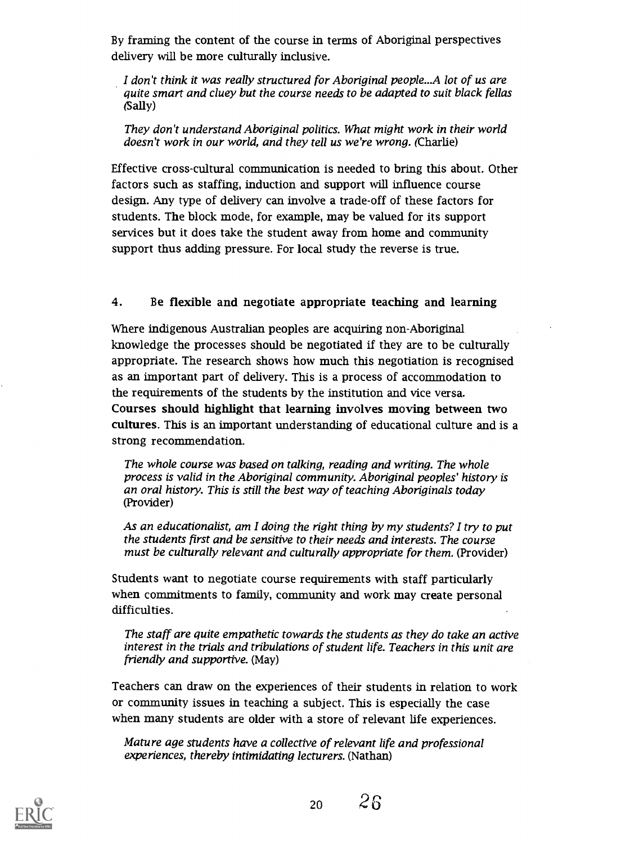By framing the content of the course in terms of Aboriginal perspectives delivery will be more culturally inclusive.

I don't think it was really structured for Aboriginal people...A lot of us are quite smart and cluey but the course needs to be adapted to suit black fellas (Sally)

They don't understand Aboriginal politics. What might work in their world doesn't work in our world, and they tell us we're wrong. (Charlie)

Effective cross-cultural communication is needed to bring this about. Other factors such as staffing, induction and support will influence course design. Any type of delivery can involve a trade-off of these factors for students. The block mode, for example, may be valued for its support services but it does take the student away from home and community support thus adding pressure. For local study the reverse is true.

#### 4. Be flexible and negotiate appropriate teaching and learning

Where indigenous Australian peoples are acquiring non-Aboriginal knowledge the processes should be negotiated if they are to be culturally appropriate. The research shows how much this negotiation is recognised as an important part of delivery. This is a process of accommodation to the requirements of the students by the institution and vice versa. Courses should highlight that learning involves moving between two cultures. This is an important understanding of educational culture and is a strong recommendation.

The whole course was based on talking, reading and writing. The whole process is valid in the Aboriginal community. Aboriginal peoples' history is an oral history. This is still the best way of teaching Aboriginals today (Provider)

As an educationalist, am I doing the right thing by my students? I try to put the students first and be sensitive to their needs and interests. The course must be culturally relevant and culturally appropriate for them. (Provider)

Students want to negotiate course requirements with staff particularly when commitments to family, community and work may create personal difficulties.

The staff are quite empathetic towards the students as they do take an active interest in the trials and tribulations of student life. Teachers in this unit are friendly and supportive. (May)

Teachers can draw on the experiences of their students in relation to work or community issues in teaching a subject. This is especially the case when many students are older with a store of relevant life experiences.

Mature age students have a collective of relevant life and professional experiences, thereby intimidating lecturers. (Nathan)

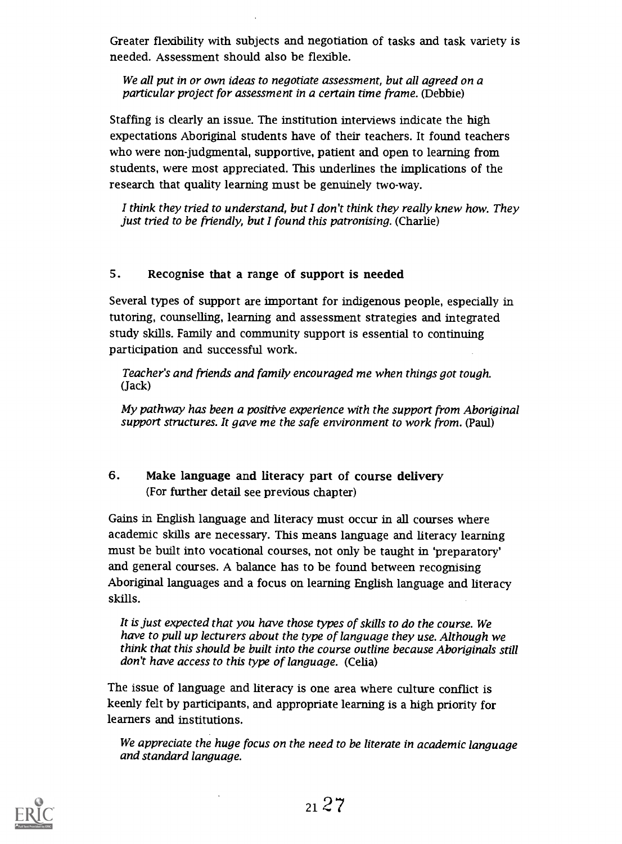Greater flexibility with subjects and negotiation of tasks and task variety is needed. Assessment should also be flexible.

We all put in or own ideas to negotiate assessment, but all agreed on a particular project for assessment in a certain time frame. (Debbie)

Staffing is clearly an issue. The institution interviews indicate the high expectations Aboriginal students have of their teachers. It found teachers who were non-judgmental, supportive, patient and open to learning from students, were most appreciated. This underlines the implications of the research that quality learning must be genuinely two-way.

I think they tried to understand, but I don't think they really knew how. They just tried to be friendly, but I found this patronising. (Charlie)

#### 5. Recognise that a range of support is needed

Several types of support are important for indigenous people, especially in tutoring, counselling, learning and assessment strategies and integrated study skills. Family and community support is essential to continuing participation and successful work.

Teacher's and friends and family encouraged me when things got tough. (Jack)

My pathway has been a positive experience with the support from Aboriginal support structures. It gave me the safe environment to work from. (Paul)

#### 6. Make language and literacy part of course delivery (For further detail see previous chapter)

Gains in English language and literacy must occur in all courses where academic skills are necessary. This means language and literacy learning must be built into vocational courses, not only be taught in 'preparatory' and general courses. A balance has to be found between recognising Aboriginal languages and a focus on learning English language and literacy skills.

It is just expected that you have those types of skills to do the course. We have to pull up lecturers about the type of language they use. Although we think that this should be built into the course outline because Aboriginals still don't have access to this type of language. (Celia)

The issue of language and literacy is one area where culture conflict is keenly felt by participants, and appropriate learning is a high priority for learners and institutions.

We appreciate the huge focus on the need to be literate in academic language and standard language.

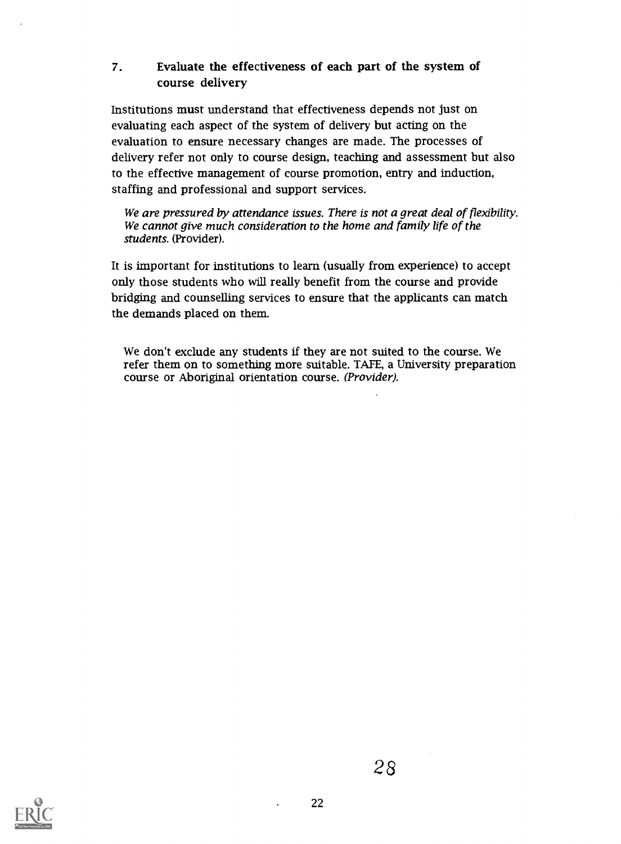#### 7. Evaluate the effectiveness of each part of the system of course delivery

Institutions must understand that effectiveness depends not just on evaluating each aspect of the system of delivery but acting on the evaluation to ensure necessary changes are made. The processes of delivery refer not only to course design, teaching and assessment but also to the effective management of course promotion, entry and induction, staffing and professional and support services.

We are pressured by attendance issues. There is not a great deal of flexibility. We cannot give much consideration to the home and family life of the students. (Provider).

It is important for institutions to learn (usually from experience) to accept only those students who will really benefit from the course and provide bridging and counselling services to ensure that the applicants can match the demands placed on them.

We don't exclude any students if they are not suited to the course. We refer them on to something more suitable. TAFE, a University preparation course or Aboriginal orientation course. (Provider).

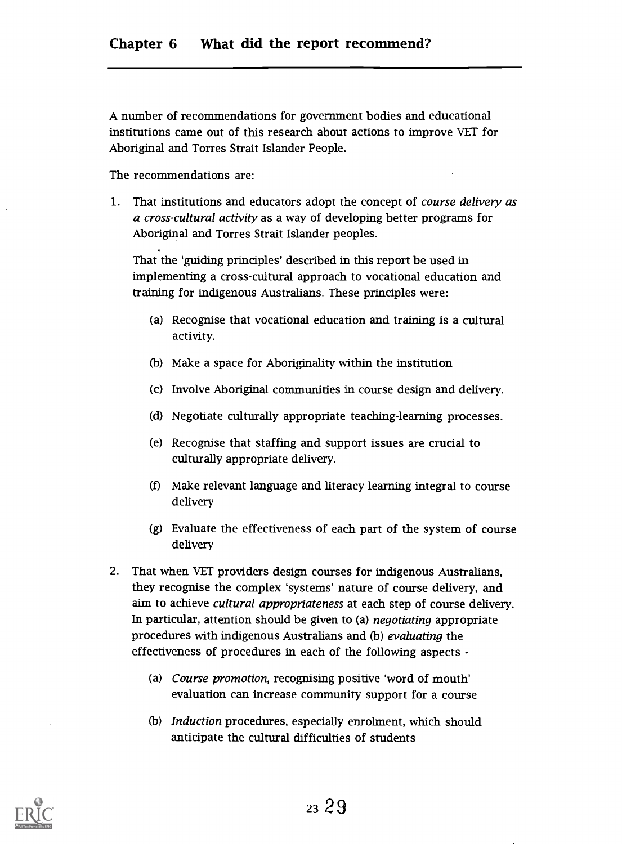A number of recommendations for government bodies and educational institutions came out of this research about actions to improve VET for Aboriginal and Torres Strait Islander People.

The recommendations are:

1. That institutions and educators adopt the concept of *course delivery as* a cross-cultural activity as a way of developing better programs for Aboriginal and Torres Strait Islander peoples.

That the 'guiding principles' described in this report be used in implementing a cross-cultural approach to vocational education and training for indigenous Australians. These principles were:

- (a) Recognise that vocational education and training is a cultural activity.
- (b) Make a space for Aboriginality within the institution
- (c) Involve Aboriginal communities in course design and delivery.
- (d) Negotiate culturally appropriate teaching-learning processes.
- (e) Recognise that staffing and support issues are crucial to culturally appropriate delivery.
- (f) Make relevant language and literacy learning integral to course delivery
- (g) Evaluate the effectiveness of each part of the system of course delivery
- 2. That when VET providers design courses for indigenous Australians, they recognise the complex 'systems' nature of course delivery, and aim to achieve cultural appropriateness at each step of course delivery. In particular, attention should be given to (a) negotiating appropriate procedures with indigenous Australians and (b) evaluating the effectiveness of procedures in each of the following aspects -
	- (a) Course promotion, recognising positive 'word of mouth' evaluation can increase community support for a course
	- (b) Induction procedures, especially enrolment, which should anticipate the cultural difficulties of students

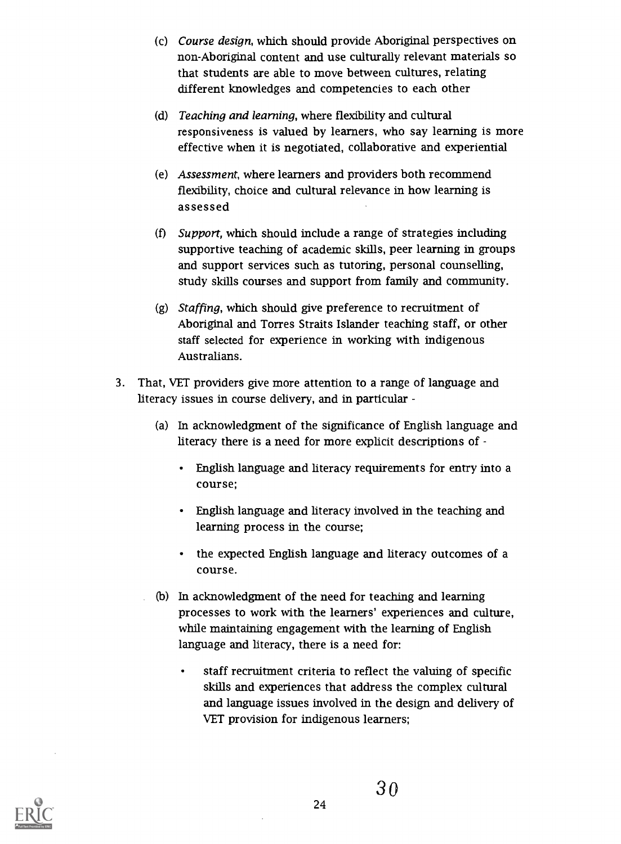- (c) Course design, which should provide Aboriginal perspectives on non-Aboriginal content and use culturally relevant materials so that students are able to move between cultures, relating different knowledges and competencies to each other
- (d) Teaching and learning, where flexibility and cultural responsiveness is valued by learners, who say learning is more effective when it is negotiated, collaborative and experiential
- (e) Assessment, where learners and providers both recommend flexibility, choice and cultural relevance in how learning is assessed
- (f) Support, which should include a range of strategies including supportive teaching of academic skills, peer learning in groups and support services such as tutoring, personal counselling, study skills courses and support from family and community
- (g) Staffing, which should give preference to recruitment of Aboriginal and Torres Straits Islander teaching staff, or other staff selected for experience in working with indigenous Australians.
- 3. That, VET providers give more attention to a range of language and literacy issues in course delivery, and in particular
	- (a) In acknowledgment of the significance of English language and literacy there is a need for more explicit descriptions of -
		- English language and literacy requirements for entry into a course;
		- English language and literacy involved in the teaching and learning process in the course;
		- the expected English language and literacy outcomes of a course.
	- (b) In acknowledgment of the need for teaching and learning processes to work with the learners' experiences and culture, while maintaining engagement with the learning of English language and literacy, there is a need for:
		- staff recruitment criteria to reflect the valuing of specific skills and experiences that address the complex cultural and language issues involved in the design and delivery of VET provision for indigenous learners;

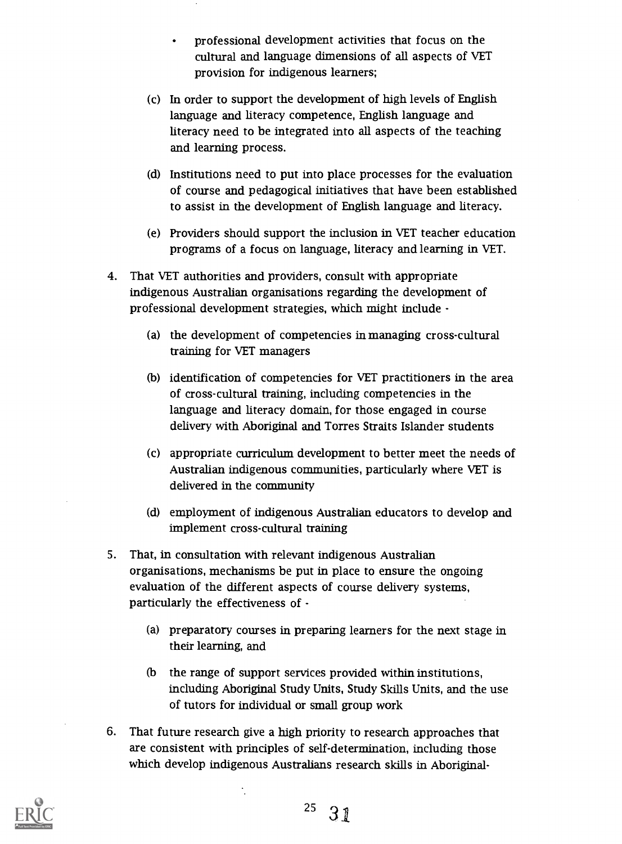- professional development activities that focus on the  $\bullet$ cultural and language dimensions of all aspects of VET provision for indigenous learners;
- (c) In order to support the development of high levels of English language and literacy competence, English language and literacy need to be integrated into all aspects of the teaching and learning process.
- (d) Institutions need to put into place processes for the evaluation of course and pedagogical initiatives that have been established to assist in the development of English language and literacy.
- (e) Providers should support the inclusion in VET teacher education programs of a focus on language, literacy and learning in VET.
- 4. That VET authorities and providers, consult with appropriate indigenous Australian organisations regarding the development of professional development strategies, which might include
	- (a) the development of competencies in managing cross-cultural training for VET managers
	- (b) identification of competencies for VET practitioners in the area of cross-cultural training, including competencies in the language and literacy domain, for those engaged in course delivery with Aboriginal and Torres Straits Islander students
	- (c) appropriate curriculum development to better meet the needs of Australian indigenous communities, particularly where VET is delivered in the community
	- (d) employment of indigenous Australian educators to develop and implement cross-cultural training
- 5. That, in consultation with relevant indigenous Australian organisations, mechanisms be put in place to ensure the ongoing evaluation of the different aspects of course delivery systems, particularly the effectiveness of
	- (a) preparatory courses in preparing learners for the next stage in their learning, and
	- (b the range of support services provided within institutions, including Aboriginal Study Units, Study Skills Units, and the use of tutors for individual or small group work
- 6. That future research give a high priority to research approaches that are consistent with principles of self-determination, including those which develop indigenous Australians research skills in Aboriginal-

 $\ddot{\cdot}$ 



<sup>25</sup>  $31$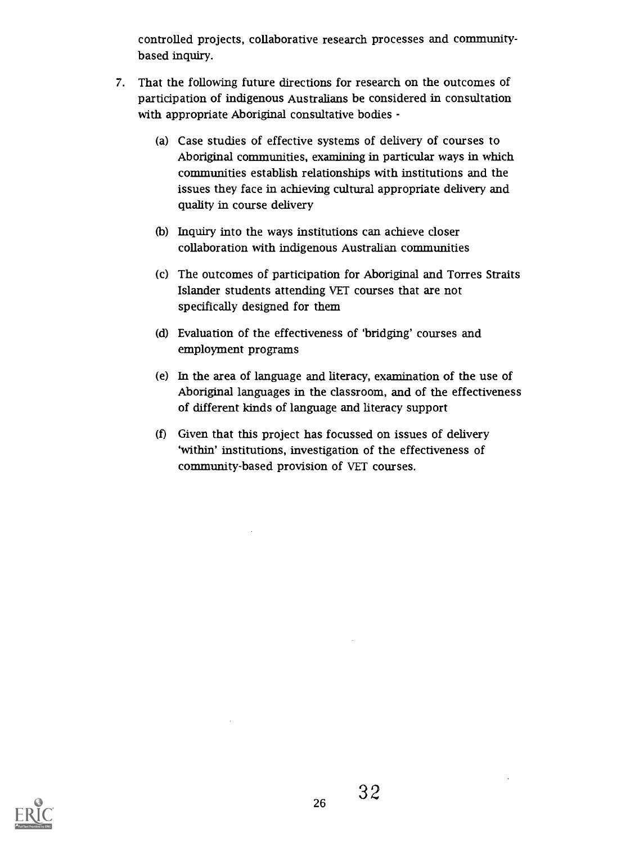controlled projects, collaborative research processes and communitybased inquiry.

- 7. That the following future directions for research on the outcomes of participation of indigenous Australians be considered in consultation with appropriate Aboriginal consultative bodies -
	- (a) Case studies of effective systems of delivery of courses to Aboriginal communities, examining in particular ways in which communities establish relationships with institutions and the issues they face in achieving cultural appropriate delivery and quality in course delivery
	- (b) Inquiry into the ways institutions can achieve closer collaboration with indigenous Australian communities
	- (c) The outcomes of participation for Aboriginal and Torres Straits Islander students attending VET courses that are not specifically designed for them
	- (d) Evaluation of the effectiveness of 'bridging' courses and employment programs
	- (e) In the area of language and literacy, examination of the use of Aboriginal languages in the classroom, and of the effectiveness of different kinds of language and literacy support
	- (f) Given that this project has focussed on issues of delivery 'within' institutions, investigation of the effectiveness of community-based provision of VET courses.

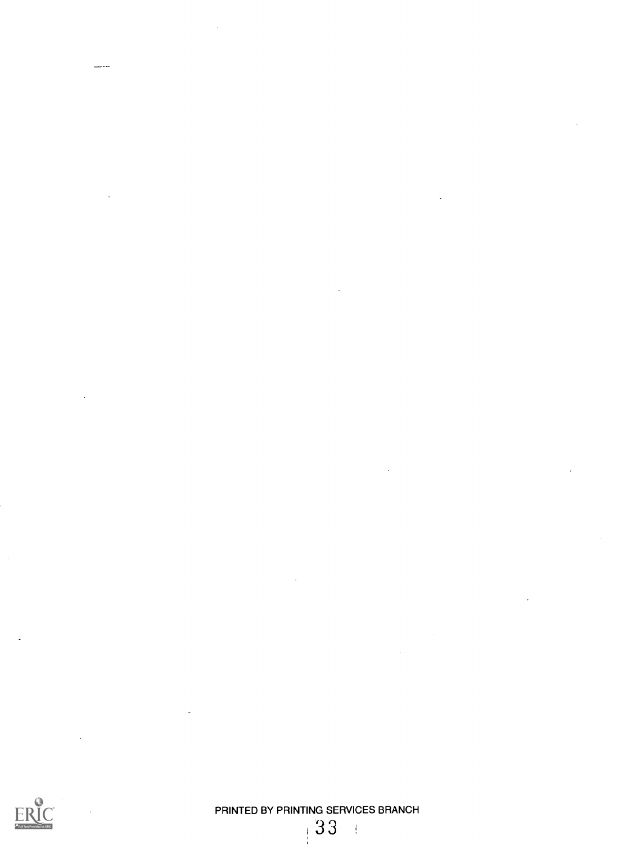

 $\frac{1}{2}$ 

PRINTED BY PRINTING SERVICES BRANCH  $\frac{1}{2}$ 

133

 $\mathbb{R}^2$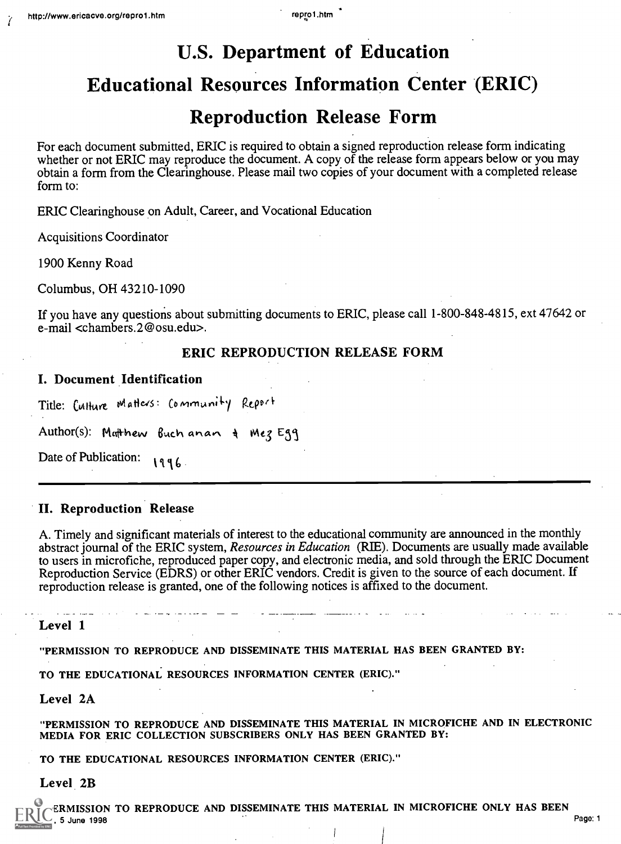## U.S. Department of Education

## Educational Resources Information Center (ERIC)

## Reproduction Release Form

For each document submitted, ERIC is required to obtain a signed reproduction release form indicating whether or not ERIC may reproduce the document. A copy of the release form appears below or you may obtain a form from the Clearinghouse. Please mail two copies of your document with a completed release form to:

ERIC Clearinghouse on Adult, Career, and Vocational Education

Acquisitions Coordinator

1900 Kenny Road

Columbus, OH 43210-1090

If you have any questions about submitting documents to ERIC, please call 1-800-848-4815, ext 47642 or e-mail <chambers.2@osu.edu>.

#### ERIC REPRODUCTION RELEASE FORM

#### I. Document Identification

Title: Culture Matters: Community Report

Author(s): Ma<del>lt</del>hew Buchanan & MezEgg

Date of Publication:  $\sqrt{q}6$ .

#### II. Reproduction Release

A. Timely and significant materials of interest to the educational community are announced in the monthly abstract journal of the ERIC system, Resources in Education (RIE). Documents are usually made available to users in microfiche, reproduced paper copy, and electronic media, and sold through the ERIC Document Reproduction Service (EDRS) or other ERIC vendors. Credit is given to the source of each document. If reproduction release is granted, one of the following notices is affixed to the document.

Level 1

"PERMISSION TO REPRODUCE AND DISSEMINATE THIS MATERIAL HAS BEEN GRANTED BY:

TO THE EDUCATIONAL RESOURCES INFORMATION CENTER (ERIC)."

Level 2A

"PERMISSION TO REPRODUCE AND DISSEMINATE THIS MATERIAL IN MICROFICHE AND IN ELECTRONIC MEDIA FOR ERIC COLLECTION SUBSCRIBERS ONLY HAS BEEN GRANTED BY:

TO THE EDUCATIONAL RESOURCES INFORMATION CENTER (ERIC)."

Level 2B

ERMISSION TO REPRODUCE AND DISSEMINATE THIS MATERIAL IN MICROFICHE ONLY HAS BEEN<br>1 Page: 1  $\overline{\mathsf{Q}}$  , 5 June 1998 Page: 1